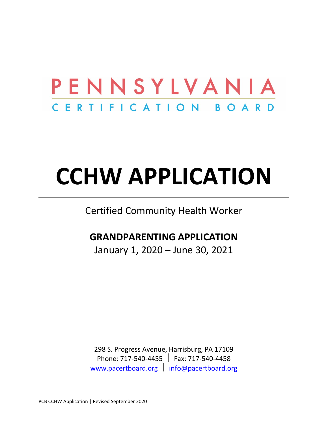## PENNSYLVANIA CERTIFICATION BOARD

# **CCHW APPLICATION**

Certified Community Health Worker

## **GRANDPARENTING APPLICATION**

January 1, 2020 – June 30, 2021

298 S. Progress Avenue, Harrisburg, PA 17109 Phone: 717-540-4455 Fax: 717-540-4458 [www.pacertboard.org](http://www.pacertboard.org/) | [info@pacertboard.org](mailto:info@pacertboard.org)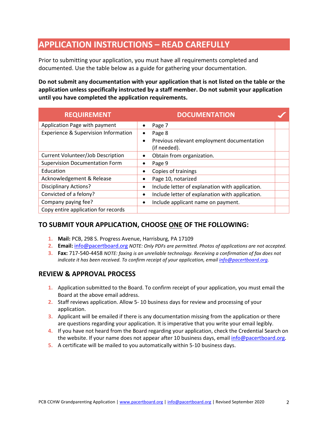## **APPLICATION INSTRUCTIONS – READ CAREFULLY**

Prior to submitting your application, you must have all requirements completed and documented. Use the table below as a guide for gathering your documentation.

**Do not submit any documentation with your application that is not listed on the table or the application unless specifically instructed by a staff member. Do not submit your application until you have completed the application requirements.**

| <b>REQUIREMENT</b>                              | <b>DOCUMENTATION</b>                                                                           |  |
|-------------------------------------------------|------------------------------------------------------------------------------------------------|--|
| Application Page with payment                   | Page 7<br>$\bullet$                                                                            |  |
| <b>Experience &amp; Supervision Information</b> | Page 8<br>$\bullet$<br>Previous relevant employment documentation<br>$\bullet$<br>(if needed). |  |
| <b>Current Volunteer/Job Description</b>        | Obtain from organization.<br>$\bullet$                                                         |  |
| <b>Supervision Documentation Form</b>           | Page 9<br>٠                                                                                    |  |
| Education                                       | Copies of trainings                                                                            |  |
| Acknowledgement & Release                       | Page 10, notarized<br>$\bullet$                                                                |  |
| <b>Disciplinary Actions?</b>                    | Include letter of explanation with application.<br>$\bullet$                                   |  |
| Convicted of a felony?                          | Include letter of explanation with application.<br>$\bullet$                                   |  |
| Company paying fee?                             | Include applicant name on payment.<br>٠                                                        |  |
| Copy entire application for records             |                                                                                                |  |

#### **TO SUBMIT YOUR APPLICATION, CHOOSE ONE OF THE FOLLOWING:**

- **1. Mail:** PCB, 298 S. Progress Avenue, Harrisburg, PA 17109
- **2. Email:** [info@pacertboard.org](mailto:info@pacertboard.org) *NOTE: Only PDFs are permitted. Photos of applications are not accepted.*
- **3. Fax:** 717-540-4458 *NOTE: faxing is an unreliable technology. Receiving a confirmation of fax does not indicate it has been received. To confirm receipt of your application, email [info@pacertboard.org.](mailto:info@pacertboard.org)*

#### **REVIEW & APPROVAL PROCESS**

- **1.** Application submitted to the Board. To confirm receipt of your application, you must email the Board at the above email address.
- **2.** Staff reviews application. Allow 5- 10 business days for review and processing of your application.
- **3.** Applicant will be emailed if there is any documentation missing from the application or there are questions regarding your application. It is imperative that you write your email legibly.
- **4.** If you have not heard from the Board regarding your application, check the Credential Search on the website. If your name does not appear after 10 business days, emai[l info@pacertboard.org.](mailto:info@pacertboard.org)
- **5.** A certificate will be mailed to you automatically within 5-10 business days.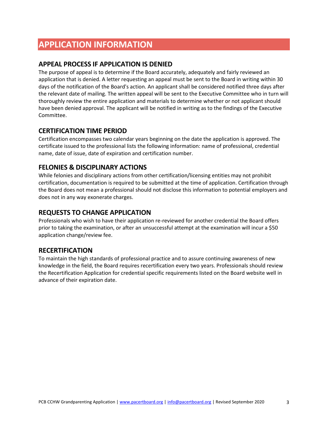## **APPLICATION INFORMATION**

#### **APPEAL PROCESS IF APPLICATION IS DENIED**

The purpose of appeal is to determine if the Board accurately, adequately and fairly reviewed an application that is denied. A letter requesting an appeal must be sent to the Board in writing within 30 days of the notification of the Board's action. An applicant shall be considered notified three days after the relevant date of mailing. The written appeal will be sent to the Executive Committee who in turn will thoroughly review the entire application and materials to determine whether or not applicant should have been denied approval. The applicant will be notified in writing as to the findings of the Executive Committee.

#### **CERTIFICATION TIME PERIOD**

Certification encompasses two calendar years beginning on the date the application is approved. The certificate issued to the professional lists the following information: name of professional, credential name, date of issue, date of expiration and certification number.

#### **FELONIES & DISCIPLINARY ACTIONS**

While felonies and disciplinary actions from other certification/licensing entities may not prohibit certification, documentation is required to be submitted at the time of application. Certification through the Board does not mean a professional should not disclose this information to potential employers and does not in any way exonerate charges.

#### **REQUESTS TO CHANGE APPLICATION**

Professionals who wish to have their application re-reviewed for another credential the Board offers prior to taking the examination, or after an unsuccessful attempt at the examination will incur a \$50 application change/review fee.

#### **RECERTIFICATION**

To maintain the high standards of professional practice and to assure continuing awareness of new knowledge in the field, the Board requires recertification every two years. Professionals should review the Recertification Application for credential specific requirements listed on the Board website well in advance of their expiration date.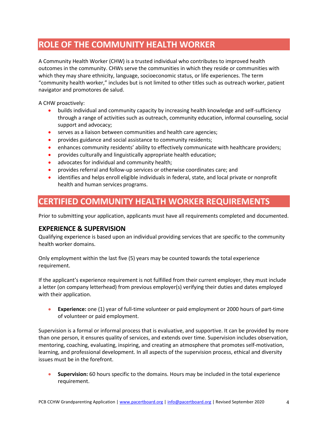## **ROLE OF THE COMMUNITY HEALTH WORKER**

A Community Health Worker (CHW) is a trusted individual who contributes to improved health outcomes in the community. CHWs serve the communities in which they reside or communities with which they may share ethnicity, language, socioeconomic status, or life experiences. The term "community health worker," includes but is not limited to other titles such as outreach worker, patient navigator and promotores de salud.

A CHW proactively:

- builds individual and community capacity by increasing health knowledge and self-sufficiency through a range of activities such as outreach, community education, informal counseling, social support and advocacy;
- serves as a liaison between communities and health care agencies;
- provides guidance and social assistance to community residents;
- enhances community residents' ability to effectively communicate with healthcare providers;
- provides culturally and linguistically appropriate health education;
- advocates for individual and community health;
- provides referral and follow-up services or otherwise coordinates care; and
- identifies and helps enroll eligible individuals in federal, state, and local private or nonprofit health and human services programs.

## **CERTIFIED COMMUNITY HEALTH WORKER REQUIREMENTS**

Prior to submitting your application, applicants must have all requirements completed and documented.

#### **EXPERIENCE & SUPERVISION**

Qualifying experience is based upon an individual providing services that are specific to the community health worker domains.

Only employment within the last five (5) years may be counted towards the total experience requirement.

If the applicant's experience requirement is not fulfilled from their current employer, they must include a letter (on company letterhead) from previous employer(s) verifying their duties and dates employed with their application.

• **Experience:** one (1) year of full-time volunteer or paid employment or 2000 hours of part-time of volunteer or paid employment.

Supervision is a formal or informal process that is evaluative, and supportive. It can be provided by more than one person, it ensures quality of services, and extends over time. Supervision includes observation, mentoring, coaching, evaluating, inspiring, and creating an atmosphere that promotes self-motivation, learning, and professional development. In all aspects of the supervision process, ethical and diversity issues must be in the forefront.

• **Supervision:** 60 hours specific to the domains. Hours may be included in the total experience requirement.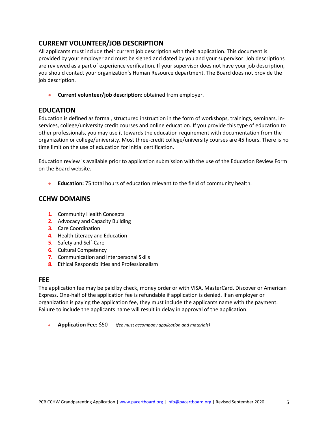#### **CURRENT VOLUNTEER/JOB DESCRIPTION**

All applicants must include their current job description with their application. This document is provided by your employer and must be signed and dated by you and your supervisor. Job descriptions are reviewed as a part of experience verification. If your supervisor does not have your job description, you should contact your organization's Human Resource department. The Board does not provide the job description.

• **Current volunteer/job description**: obtained from employer.

#### **EDUCATION**

Education is defined as formal, structured instruction in the form of workshops, trainings, seminars, inservices, college/university credit courses and online education. If you provide this type of education to other professionals, you may use it towards the education requirement with documentation from the organization or college/university. Most three-credit college/university courses are 45 hours. There is no time limit on the use of education for initial certification.

Education review is available prior to application submission with the use of the Education Review Form on the Board website.

• **Education:** 75 total hours of education relevant to the field of community health.

#### **CCHW DOMAINS**

- **1.** Community Health Concepts
- **2.** Advocacy and Capacity Building
- **3.** Care Coordination
- **4.** Health Literacy and Education
- **5.** Safety and Self-Care
- **6.** Cultural Competency
- **7.** Communication and Interpersonal Skills
- **8.** Ethical Responsibilities and Professionalism

#### **FEE**

The application fee may be paid by check, money order or with VISA, MasterCard, Discover or American Express. One-half of the application fee is refundable if application is denied. If an employer or organization is paying the application fee, they must include the applicants name with the payment. Failure to include the applicants name will result in delay in approval of the application.

• **Application Fee:** \$50 *(fee must accompany application and materials)*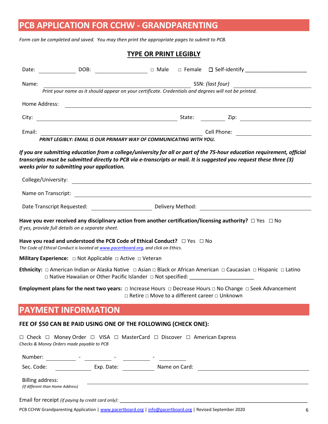## **PCB APPLICATION FOR CCHW - GRANDPARENTING**

*Form can be completed and saved. You may then print the appropriate pages to submit to PCB.*

#### **TYPE OR PRINT LEGIBLY**

| Date:   |                                                                                                                                                                                                                                                                                               |  |                                                                                                                          |
|---------|-----------------------------------------------------------------------------------------------------------------------------------------------------------------------------------------------------------------------------------------------------------------------------------------------|--|--------------------------------------------------------------------------------------------------------------------------|
| Name:   | $\frac{1}{2}$ and $\frac{1}{2}$ and $\frac{1}{2}$ and $\frac{1}{2}$ and $\frac{1}{2}$ and $\frac{1}{2}$ and $\frac{1}{2}$ and $\frac{1}{2}$ and $\frac{1}{2}$ and $\frac{1}{2}$ and $\frac{1}{2}$ and $\frac{1}{2}$ and $\frac{1}{2}$ and $\frac{1}{2}$ and $\frac{1}{2}$ and $\frac{1}{2}$ a |  | SSN: (last four)                                                                                                         |
|         | Print your name as it should appear on your certificate. Credentials and degrees will not be printed.                                                                                                                                                                                         |  |                                                                                                                          |
|         | Home Address:                                                                                                                                                                                                                                                                                 |  |                                                                                                                          |
| City:   |                                                                                                                                                                                                                                                                                               |  |                                                                                                                          |
| Email:  |                                                                                                                                                                                                                                                                                               |  |                                                                                                                          |
|         | PRINT LEGIBLY: EMAIL IS OUR PRIMARY WAY OF COMMUNICATING WITH YOU.                                                                                                                                                                                                                            |  |                                                                                                                          |
|         | (3) transcripts must be submitted directly to PCB via e-transcripts or mail. It is suggested you request these three<br>weeks prior to submitting your application.<br>College/University:<br><u> 1980 - Johann John Stein, markin fizik eta idazlearia (h. 1980).</u>                        |  | If you are submitting education from a college/university for all or part of the 75-hour education requirement, official |
|         |                                                                                                                                                                                                                                                                                               |  |                                                                                                                          |
|         |                                                                                                                                                                                                                                                                                               |  |                                                                                                                          |
|         | Have you ever received any disciplinary action from another certification/licensing authority? $\Box$ Yes $\;\Box$ No<br>If yes, provide full details on a separate sheet.                                                                                                                    |  |                                                                                                                          |
|         | Have you read and understood the PCB Code of Ethical Conduct? $\Box$ Yes $\Box$ No<br>The Code of Ethical Conduct is located at www.pacertboard.org, and click on Ethics.                                                                                                                     |  |                                                                                                                          |
|         | Military Experience: $\Box$ Not Applicable $\Box$ Active $\Box$ Veteran                                                                                                                                                                                                                       |  |                                                                                                                          |
|         | Ethnicity: □ American Indian or Alaska Native □ Asian □ Black or African American □ Caucasian □ Hispanic □ Latino<br>$\Box$ Native Hawaiian or Other Pacific Islander $\Box$ Not specified:                                                                                                   |  |                                                                                                                          |
|         | Employment plans for the next two years: $\Box$ Increase Hours $\Box$ Decrease Hours $\Box$ No Change $\Box$ Seek Advancement                                                                                                                                                                 |  | □ Retire □ Move to a different career □ Unknown                                                                          |
|         | <b>PAYMENT INFORMATION</b>                                                                                                                                                                                                                                                                    |  |                                                                                                                          |
|         | FEE OF \$50 CAN BE PAID USING ONE OF THE FOLLOWING (CHECK ONE):                                                                                                                                                                                                                               |  |                                                                                                                          |
|         | $\Box$ Check $\Box$ Money Order $\Box$ VISA $\Box$ MasterCard $\Box$ Discover $\Box$ American Express<br>Checks & Money Orders made payable to PCB                                                                                                                                            |  |                                                                                                                          |
| Number: |                                                                                                                                                                                                                                                                                               |  |                                                                                                                          |

| Sec. Code: | Exp. Date: | Name on Card: |  |
|------------|------------|---------------|--|
|            |            |               |  |

Billing address: *(If different than Home Address)*

Email for receipt *(if paying by credit card only)*:

PCB CCHW Grandparenting Application [| www.pacertboard.org](http://www.pacertboard.org/) [| info@pacertboard.org](mailto:info@pacertboard.org) | Revised September 2020 6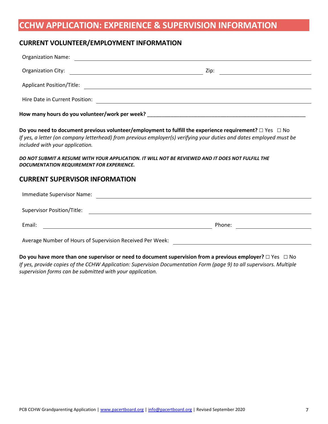## **CCHW APPLICATION: EXPERIENCE & SUPERVISION INFORMATION**

#### **CURRENT VOLUNTEER/EMPLOYMENT INFORMATION**

|                                                                                                                                                                                                                                                                             | <u> 2000 - Andrea Albert III, politik eta politik eta politik eta politik eta politik eta politik eta politik e</u> |
|-----------------------------------------------------------------------------------------------------------------------------------------------------------------------------------------------------------------------------------------------------------------------------|---------------------------------------------------------------------------------------------------------------------|
|                                                                                                                                                                                                                                                                             |                                                                                                                     |
|                                                                                                                                                                                                                                                                             |                                                                                                                     |
|                                                                                                                                                                                                                                                                             |                                                                                                                     |
| Do you need to document previous volunteer/employment to fulfill the experience requirement? $\Box$ Yes $\Box$ No<br>If yes, a letter (on company letterhead) from previous employer(s) verifying your duties and dates employed must be<br>included with your application. |                                                                                                                     |
| DO NOT SUBMIT A RESUME WITH YOUR APPLICATION. IT WILL NOT BE REVIEWED AND IT DOES NOT FULFILL THE<br>DOCUMENTATION REQUIREMENT FOR EXPERIENCE.                                                                                                                              |                                                                                                                     |
| <b>CURRENT SUPERVISOR INFORMATION</b>                                                                                                                                                                                                                                       |                                                                                                                     |
|                                                                                                                                                                                                                                                                             |                                                                                                                     |
|                                                                                                                                                                                                                                                                             |                                                                                                                     |
| Email:<br><u> 1989 - Jan Samuel Barbara, margaret eta idazlea (h. 1989).</u>                                                                                                                                                                                                |                                                                                                                     |
| Average Number of Hours of Supervision Received Per Week:                                                                                                                                                                                                                   |                                                                                                                     |

**Do you have more than one supervisor or need to document supervision from a previous employer?** □ Yes □ No *If yes, provide copies of the CCHW Application: Supervision Documentation Form (page 9) to all supervisors. Multiple supervision forms can be submitted with your application.*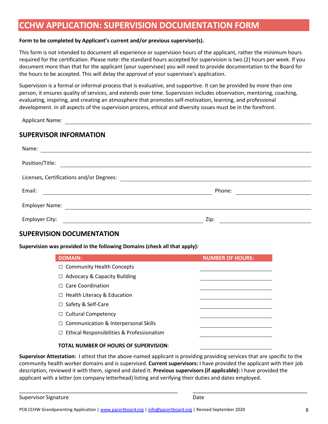### **CCHW APPLICATION: SUPERVISION DOCUMENTATION FORM**

#### **Form to be completed by Applicant's current and/or previous supervisor(s).**

This form is not intended to document all experience or supervision hours of the applicant, rather the minimum hours required for the certification. Please note: the standard hours accepted for supervision is two (2) hours per week. If you document more than that for the applicant (your supervisee) you will need to provide documentation to the Board for the hours to be accepted. This will delay the approval of your supervisee's application.

Supervision is a formal or informal process that is evaluative, and supportive. It can be provided by more than one person, it ensures quality of services, and extends over time. Supervision includes observation, mentoring, coaching, evaluating, inspiring, and creating an atmosphere that promotes self-motivation, learning, and professional development. In all aspects of the supervision process, ethical and diversity issues must be in the forefront.

Applicant Name:

#### **SUPERVISOR INFORMATION**

| Name:                                                                                                                          |        |  |
|--------------------------------------------------------------------------------------------------------------------------------|--------|--|
| Position/Title:                                                                                                                |        |  |
| Licenses, Certifications and/or Degrees:                                                                                       |        |  |
| Email:<br><u> 1980 - Jan Stein Stein Stein Stein Stein Stein Stein Stein Stein Stein Stein Stein Stein Stein Stein Stein S</u> | Phone: |  |
| Employer Name:<br>the contract of the contract of the contract of the contract of the contract of                              |        |  |
| <b>Employer City:</b>                                                                                                          | Zip:   |  |

#### **SUPERVISION DOCUMENTATION**

**Supervision was provided in the following Domains (check all that apply):**

| <b>DOMAIN:</b>                                    | <b>NUMBER OF HOURS:</b> |
|---------------------------------------------------|-------------------------|
| $\Box$ Community Health Concepts                  |                         |
| $\Box$ Advocacy & Capacity Building               |                         |
| $\Box$ Care Coordination                          |                         |
| $\Box$ Health Literacy & Education                |                         |
| $\Box$ Safety & Self-Care                         |                         |
| $\Box$ Cultural Competency                        |                         |
| $\Box$ Communication & Interpersonal Skills       |                         |
| $\Box$ Ethical Responsibilities & Professionalism |                         |
| <b>TOTAL NUMBER OF HOURS OF SUPERVISION:</b>      |                         |

**Supervisor Attestation:** I attest that the above-named applicant is providing providing services that are specific to the community health worker domains and is supervised. **Current supervisors:** I have provided the applicant with their job description, reviewed it with them, signed and dated it. **Previous supervisors (if applicable):** I have provided the applicant with a letter (on company letterhead) listing and verifying their duties and dates employed.

\_\_\_\_\_\_\_\_\_\_\_\_\_\_\_\_\_\_\_\_\_\_\_\_\_\_\_\_\_\_\_\_\_\_\_\_\_\_\_\_\_\_\_\_\_\_\_\_\_\_\_\_\_\_ \_\_\_\_\_\_\_\_\_\_\_\_\_\_\_\_\_\_\_\_\_\_\_\_\_\_\_\_\_\_\_\_\_\_\_\_\_\_\_

Supervisor Signature Date Date Date